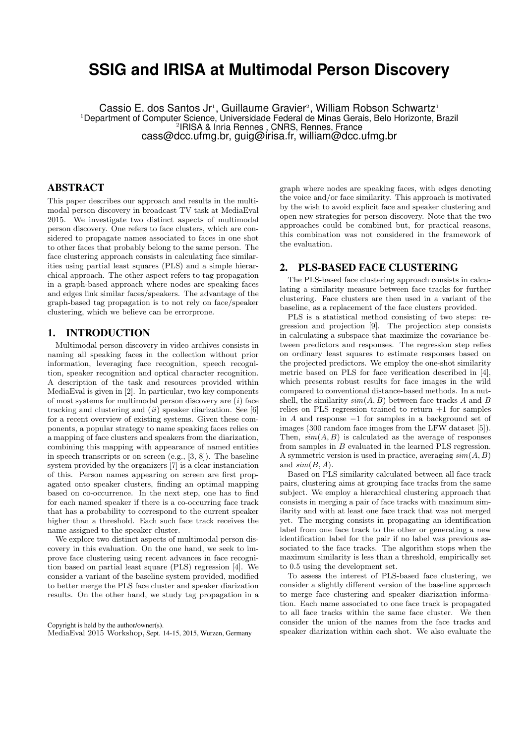# **SSIG and IRISA at Multimodal Person Discovery**

Cassio E. dos Santos Jr<sup>1</sup>, Guillaume Gravier<sup>2</sup>, William Robson Schwartz<sup>1</sup> <sup>1</sup>Department of Computer Science, Universidade Federal de Minas Gerais, Belo Horizonte, Brazil 2 IRISA & Inria Rennes , CNRS, Rennes, France cass@dcc.ufmg.br, guig@irisa.fr, william@dcc.ufmg.br

#### ABSTRACT

This paper describes our approach and results in the multimodal person discovery in broadcast TV task at MediaEval 2015. We investigate two distinct aspects of multimodal person discovery. One refers to face clusters, which are considered to propagate names associated to faces in one shot to other faces that probably belong to the same person. The face clustering approach consists in calculating face similarities using partial least squares (PLS) and a simple hierarchical approach. The other aspect refers to tag propagation in a graph-based approach where nodes are speaking faces and edges link similar faces/speakers. The advantage of the graph-based tag propagation is to not rely on face/speaker clustering, which we believe can be errorprone.

### 1. INTRODUCTION

Multimodal person discovery in video archives consists in naming all speaking faces in the collection without prior information, leveraging face recognition, speech recognition, speaker recognition and optical character recognition. A description of the task and resources provided within MediaEval is given in [2]. In particular, two key components of most systems for multimodal person discovery are  $(i)$  face tracking and clustering and  $(ii)$  speaker diarization. See [6] for a recent overview of existing systems. Given these components, a popular strategy to name speaking faces relies on a mapping of face clusters and speakers from the diarization, combining this mapping with appearance of named entities in speech transcripts or on screen (e.g., [3, 8]). The baseline system provided by the organizers [7] is a clear instanciation of this. Person names appearing on screen are first propagated onto speaker clusters, finding an optimal mapping based on co-occurrence. In the next step, one has to find for each named speaker if there is a co-occurring face track that has a probability to correspond to the current speaker higher than a threshold. Each such face track receives the name assigned to the speaker cluster.

We explore two distinct aspects of multimodal person discovery in this evaluation. On the one hand, we seek to improve face clustering using recent advances in face recognition based on partial least square (PLS) regression [4]. We consider a variant of the baseline system provided, modified to better merge the PLS face cluster and speaker diarization results. On the other hand, we study tag propagation in a

Copyright is held by the author/owner(s). MediaEval 2015 Workshop, Sept. 14-15, 2015, Wurzen, Germany

graph where nodes are speaking faces, with edges denoting the voice and/or face similarity. This approach is motivated by the wish to avoid explicit face and speaker clustering and open new strategies for person discovery. Note that the two approaches could be combined but, for practical reasons, this combination was not considered in the framework of the evaluation.

## 2. PLS-BASED FACE CLUSTERING

The PLS-based face clustering approach consists in calculating a similarity measure between face tracks for further clustering. Face clusters are then used in a variant of the baseline, as a replacement of the face clusters provided.

PLS is a statistical method consisting of two steps: regression and projection [9]. The projection step consists in calculating a subspace that maximize the covariance between predictors and responses. The regression step relies on ordinary least squares to estimate responses based on the projected predictors. We employ the one-shot similarity metric based on PLS for face verification described in [4], which presents robust results for face images in the wild compared to conventional distance-based methods. In a nutshell, the similarity  $sim(A, B)$  between face tracks A and B relies on PLS regression trained to return  $+1$  for samples in A and response −1 for samples in a background set of images (300 random face images from the LFW dataset [5]). Then,  $sim(A, B)$  is calculated as the average of responses from samples in B evaluated in the learned PLS regression. A symmetric version is used in practice, averaging  $sim(A, B)$ and  $sim(B, A)$ .

Based on PLS similarity calculated between all face track pairs, clustering aims at grouping face tracks from the same subject. We employ a hierarchical clustering approach that consists in merging a pair of face tracks with maximum similarity and with at least one face track that was not merged yet. The merging consists in propagating an identification label from one face track to the other or generating a new identification label for the pair if no label was previous associated to the face tracks. The algorithm stops when the maximum similarity is less than a threshold, empirically set to 0.5 using the development set.

To assess the interest of PLS-based face clustering, we consider a slightly different version of the baseline approach to merge face clustering and speaker diarization information. Each name associated to one face track is propagated to all face tracks within the same face cluster. We then consider the union of the names from the face tracks and speaker diarization within each shot. We also evaluate the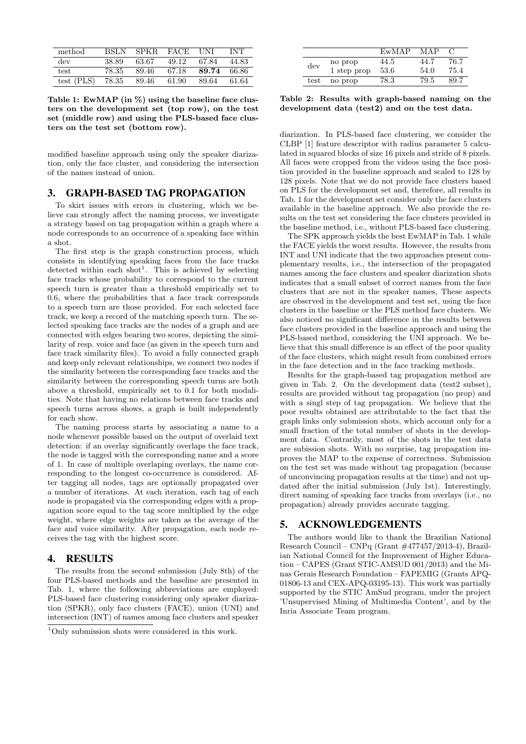| method           | BSLN  | SPKR. | $_{\rm FACT}$ | <b>HNI</b> | INT   |
|------------------|-------|-------|---------------|------------|-------|
| dev              | 38.89 | 63.67 | 49.12         | 67.84      | 44.83 |
| test             | 78.35 | 89.46 | 67.18         | 89.74      | 66.86 |
| $test$ ( $PLS$ ) | 78.35 | 89.46 | 61.90         | 89.64      | 61.64 |

Table 1: EwMAP (in  $\%$ ) using the baseline face clusters on the development set (top row), on the test set (middle row) and using the PLS-based face clusters on the test set (bottom row).

modified baseline approach using only the speaker diarization, only the face cluster, and considering the intersection of the names instead of union.

#### 3. GRAPH-BASED TAG PROPAGATION

To skirt issues with errors in clustering, which we believe can strongly affect the naming process, we investigate a strategy based on tag propagation within a graph where a node corresponds to an occurrence of a speaking face within a shot.

The first step is the graph construction process, which consists in identifying speaking faces from the face tracks detected within each  $shot<sup>1</sup>$ . This is achieved by selecting face tracks whose probability to correspond to the current speech turn is greater than a threshold empirically set to 0.6, where the probabilities that a face track corresponds to a speech turn are those provided. For each selected face track, we keep a record of the matching speech turn. The selected speaking face tracks are the nodes of a graph and are connected with edges bearing two scores, depicting the similarity of resp. voice and face (as given in the speech turn and face track similarity files). To avoid a fully connected graph and keep only relevant relationships, we connect two nodes if the similarity between the corresponding face tracks and the similarity between the corresponding speech turns are both above a threshold, empirically set to 0.1 for both modalities. Note that having no relations between face tracks and speech turns across shows, a graph is built independently for each show.

The naming process starts by associating a name to a node whenever possible based on the output of overlaid text detection: if an overlay significantly overlaps the face track, the node is tagged with the corresponding name and a score of 1. In case of multiple overlaping overlays, the name corresponding to the longest co-occurrence is considered. After tagging all nodes, tags are optionally propagated over a number of iterations. At each iteration, each tag of each node is propagated via the corresponding edges with a propagation score equal to the tag score multiplied by the edge weight, where edge weights are taken as the average of the face and voice similarity. After propagation, each node receives the tag with the highest score.

#### 4. RESULTS

The results from the second submission (July 8th) of the four PLS-based methods and the baseline are presented in Tab. 1, where the following abbreviations are employed: PLS-based face clustering considering only speaker diarization (SPKR), only face clusters (FACE), union (UNI) and intersection (INT) of names among face clusters and speaker

|      |             | EwMAP | MAP  |      |
|------|-------------|-------|------|------|
| dev  | no prop     | 44.5  | 44.7 | 76.7 |
|      | 1 step prop | 53.6  | 54.0 | 75.4 |
| test | no prop     | 78.3  | 79.5 | 89.7 |

Table 2: Results with graph-based naming on the development data (test2) and on the test data.

diarization. In PLS-based face clustering, we consider the CLBP [1] feature descriptor with radius parameter 5 calculated in squared blocks of size 16 pixels and stride of 8 pixels. All faces were cropped from the videos using the face position provided in the baseline approach and scaled to 128 by 128 pixels. Note that we do not provide face clusters based on PLS for the development set and, therefore, all results in Tab. 1 for the development set consider only the face clusters available in the baseline approach. We also provide the results on the test set considering the face clusters provided in the baseline method, i.e., without PLS-based face clustering.

The SPK approach yields the best EwMAP in Tab. 1 while the FACE yields the worst results. However, the results from INT and UNI indicate that the two approaches present complementary results, i.e., the intersection of the propagated names among the face clusters and speaker diarization shots indicates that a small subset of correct names from the face clusters that are not in the speaker names, These aspects are observed in the development and test set, using the face clusters in the baseline or the PLS method face clusters. We also noticed no significant difference in the results between face clusters provided in the baseline approach and using the PLS-based method, considering the UNI approach. We believe that this small difference is an effect of the poor quality of the face clusters, which might result from combined errors in the face detection and in the face tracking methods.

Results for the graph-based tag propagation method are given in Tab. 2. On the development data (test2 subset), results are provided without tag propagation (no prop) and with a singl step of tag propagation. We believe that the poor results obtained are attributable to the fact that the graph links only submission shots, which account only for a small fraction of the total number of shots in the development data. Contrarily, most of the shots in the test data are subission shots. With no surprise, tag propagation improves the MAP to the expense of correctness. Submission on the test set was made without tag propagation (because of unconvincing propagation results at the time) and not updated after the initial submission (July 1st). Interestingly, direct naming of speaking face tracks from overlays (i.e., no propagation) already provides accurate tagging.

#### 5. ACKNOWLEDGEMENTS

The authors would like to thank the Brazilian National Research Council – CNPq (Grant #477457/2013-4), Brazilian National Council for the Improvement of Higher Education – CAPES (Grant STIC-AMSUD 001/2013) and the Minas Gerais Research Foundation – FAPEMIG (Grants APQ-01806-13 and CEX-APQ-03195-13). This work was partially supported by the STIC AmSud program, under the project 'Unsupervised Mining of Multimedia Content', and by the Inria Associate Team program.

 $1$ Only submission shots were considered in this work.